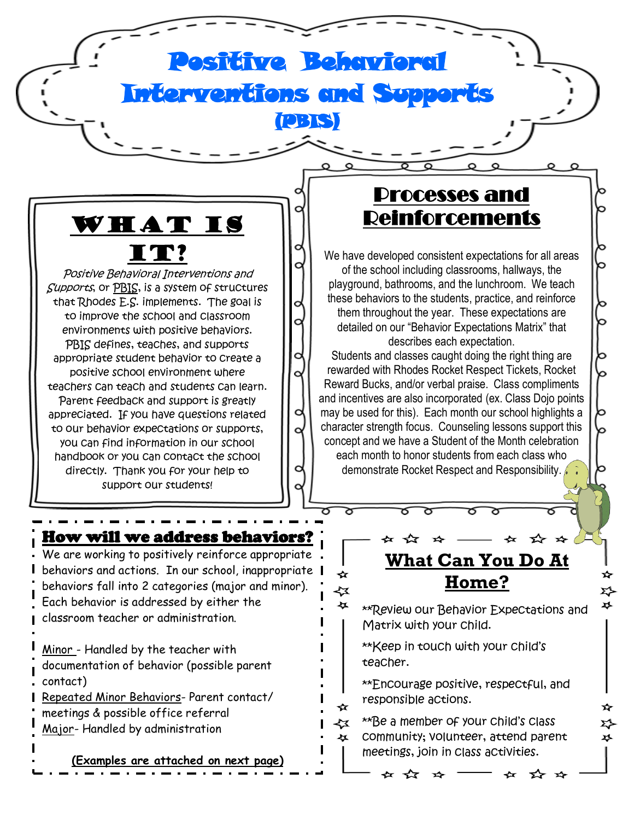